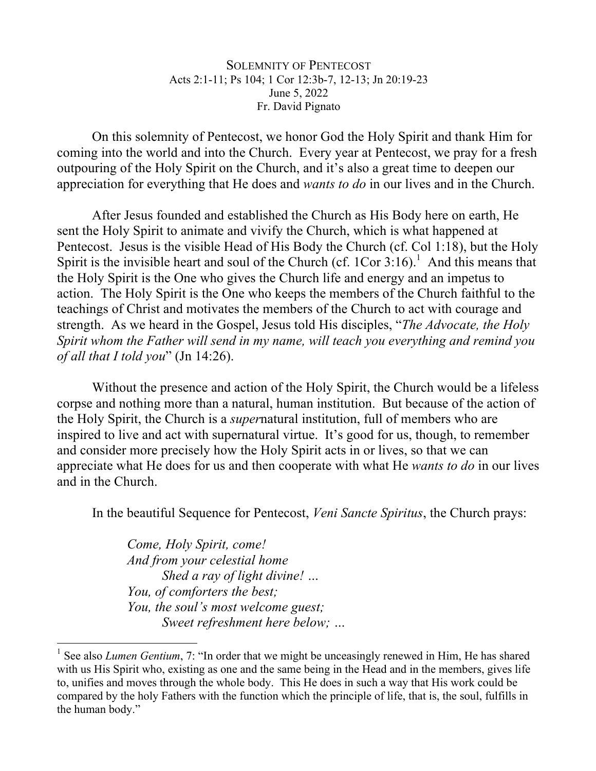## SOLEMNITY OF PENTECOST Acts 2:1-11; Ps 104; 1 Cor 12:3b-7, 12-13; Jn 20:19-23 June 5, 2022 Fr. David Pignato

On this solemnity of Pentecost, we honor God the Holy Spirit and thank Him for coming into the world and into the Church. Every year at Pentecost, we pray for a fresh outpouring of the Holy Spirit on the Church, and it's also a great time to deepen our appreciation for everything that He does and *wants to do* in our lives and in the Church.

After Jesus founded and established the Church as His Body here on earth, He sent the Holy Spirit to animate and vivify the Church, which is what happened at Pentecost. Jesus is the visible Head of His Body the Church (cf. Col 1:18), but the Holy Spirit is the invisible heart and soul of the Church (cf.  $1Cor 3:16$ ).<sup>1</sup> And this means that the Holy Spirit is the One who gives the Church life and energy and an impetus to action. The Holy Spirit is the One who keeps the members of the Church faithful to the teachings of Christ and motivates the members of the Church to act with courage and strength. As we heard in the Gospel, Jesus told His disciples, "*The Advocate, the Holy Spirit whom the Father will send in my name, will teach you everything and remind you of all that I told you*" (Jn 14:26).

Without the presence and action of the Holy Spirit, the Church would be a lifeless corpse and nothing more than a natural, human institution. But because of the action of the Holy Spirit, the Church is a *super*natural institution, full of members who are inspired to live and act with supernatural virtue. It's good for us, though, to remember and consider more precisely how the Holy Spirit acts in or lives, so that we can appreciate what He does for us and then cooperate with what He *wants to do* in our lives and in the Church.

In the beautiful Sequence for Pentecost, *Veni Sancte Spiritus*, the Church prays:

*Come, Holy Spirit, come! And from your celestial home Shed a ray of light divine! … You, of comforters the best; You, the soul's most welcome guest; Sweet refreshment here below; …*

<sup>&</sup>lt;sup>1</sup> See also *Lumen Gentium*, 7: "In order that we might be unceasingly renewed in Him, He has shared with us His Spirit who, existing as one and the same being in the Head and in the members, gives life to, unifies and moves through the whole body. This He does in such a way that His work could be compared by the holy Fathers with the function which the principle of life, that is, the soul, fulfills in the human body."